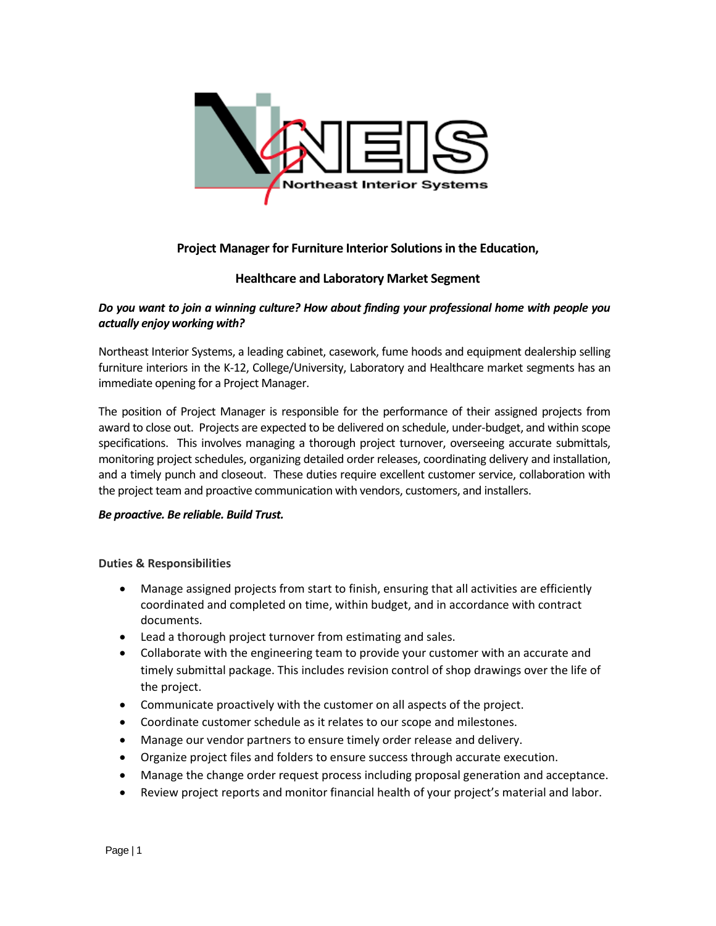

# **Project Manager for Furniture Interior Solutions in the Education,**

## **Healthcare and Laboratory Market Segment**

### *Do you want to join a winning culture? How about finding your professional home with people you actually enjoy working with?*

Northeast Interior Systems, a leading cabinet, casework, fume hoods and equipment dealership selling furniture interiors in the K-12, College/University, Laboratory and Healthcare market segments has an immediate opening for a Project Manager.

The position of Project Manager is responsible for the performance of their assigned projects from award to close out. Projects are expected to be delivered on schedule, under-budget, and within scope specifications. This involves managing a thorough project turnover, overseeing accurate submittals, monitoring project schedules, organizing detailed order releases, coordinating delivery and installation, and a timely punch and closeout. These duties require excellent customer service, collaboration with the project team and proactive communication with vendors, customers, and installers.

#### *Be proactive. Be reliable. Build Trust.*

#### **Duties & Responsibilities**

- Manage assigned projects from start to finish, ensuring that all activities are efficiently coordinated and completed on time, within budget, and in accordance with contract documents.
- Lead a thorough project turnover from estimating and sales.
- Collaborate with the engineering team to provide your customer with an accurate and timely submittal package. This includes revision control of shop drawings over the life of the project.
- Communicate proactively with the customer on all aspects of the project.
- Coordinate customer schedule as it relates to our scope and milestones.
- Manage our vendor partners to ensure timely order release and delivery.
- Organize project files and folders to ensure success through accurate execution.
- Manage the change order request process including proposal generation and acceptance.
- Review project reports and monitor financial health of your project's material and labor.